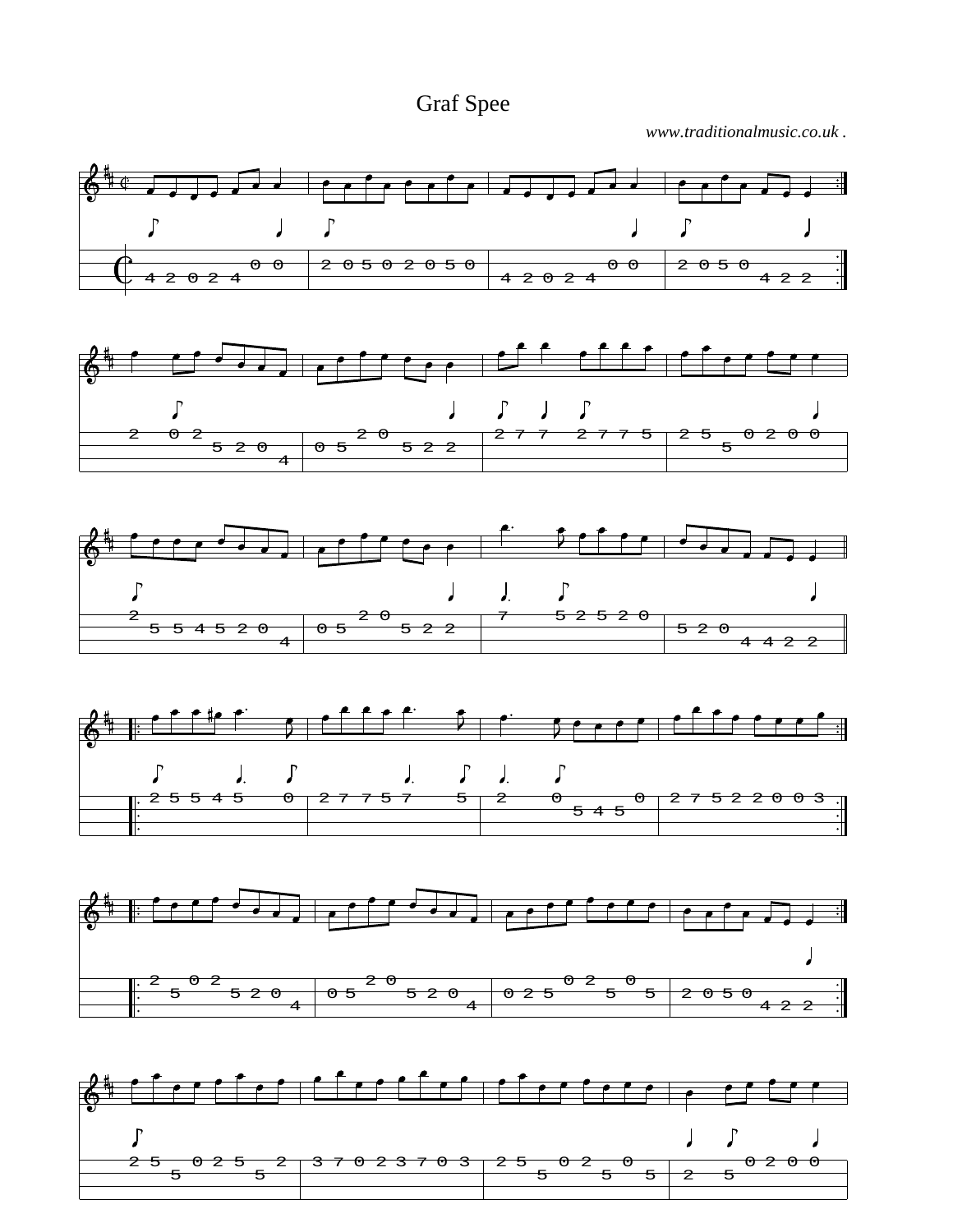Graf Spee

*www.traditionalmusic.co.uk .*